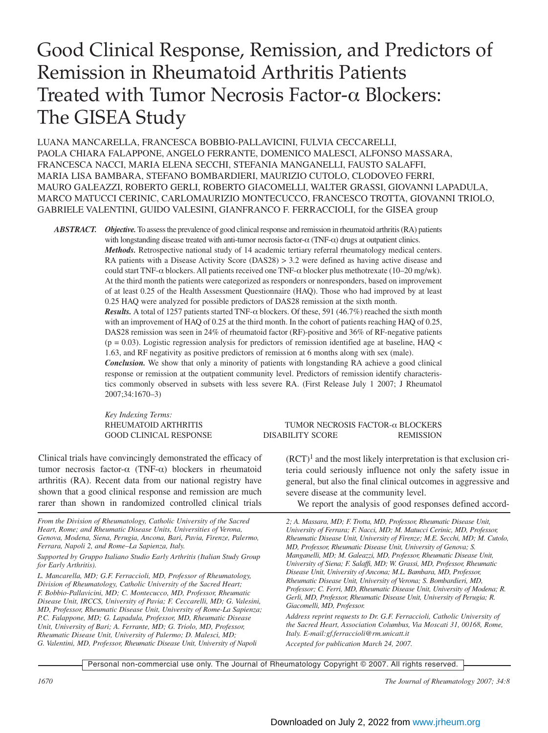# Good Clinical Response, Remission, and Predictors of Remission in Rheumatoid Arthritis Patients Treated with Tumor Necrosis Factor-α Blockers: The GISEA Study

LUANA MANCARELLA, FRANCESCA BOBBIO-PALLAVICINI, FULVIA CECCARELLI, PAOLA CHIARA FALAPPONE, ANGELO FERRANTE, DOMENICO MALESCI, ALFONSO MASSARA, FRANCESCA NACCI, MARIA ELENA SECCHI, STEFANIA MANGANELLI, FAUSTO SALAFFI, MARIA LISA BAMBARA, STEFANO BOMBARDIERI, MAURIZIO CUTOLO, CLODOVEO FERRI, MAURO GALEAZZI, ROBERTO GERLI, ROBERTO GIACOMELLI, WALTER GRASSI, GIOVANNI LAPADULA, MARCO MATUCCI CERINIC, CARLOMAURIZIO MONTECUCCO, FRANCESCO TROTTA, GIOVANNI TRIOLO, GABRIELE VALENTINI, GUIDO VALESINI, GIANFRANCO F. FERRACCIOLI, for the GISEA group

*ABSTRACT. Objective.*To assess the prevalence of good clinical response and remission in rheumatoid arthritis (RA) patients with longstanding disease treated with anti-tumor necrosis factor-α (TNF-α) drugs at outpatient clinics.

*Methods.* Retrospective national study of 14 academic tertiary referral rheumatology medical centers. RA patients with a Disease Activity Score (DAS28) > 3.2 were defined as having active disease and could start TNF- $\alpha$  blockers. All patients received one TNF- $\alpha$  blocker plus methotrexate (10–20 mg/wk). At the third month the patients were categorized as responders or nonresponders, based on improvement of at least 0.25 of the Health Assessment Questionnaire (HAQ). Those who had improved by at least 0.25 HAQ were analyzed for possible predictors of DAS28 remission at the sixth month. *Results.* A total of 1257 patients started TNF-α blockers. Of these, 591 (46.7%) reached the sixth month

with an improvement of HAQ of 0.25 at the third month. In the cohort of patients reaching HAQ of 0.25, DAS28 remission was seen in 24% of rheumatoid factor (RF)-positive and 36% of RF-negative patients  $(p = 0.03)$ . Logistic regression analysis for predictors of remission identified age at baseline, HAQ < 1.63, and RF negativity as positive predictors of remission at 6 months along with sex (male).

*Conclusion.* We show that only a minority of patients with longstanding RA achieve a good clinical response or remission at the outpatient community level. Predictors of remission identify characteristics commonly observed in subsets with less severe RA. (First Release July 1 2007; J Rheumatol 2007;34:1670–3)

*Key Indexing Terms:*

Clinical trials have convincingly demonstrated the efficacy of tumor necrosis factor-α (TNF-α) blockers in rheumatoid arthritis (RA). Recent data from our national registry have shown that a good clinical response and remission are much rarer than shown in randomized controlled clinical trials

*From the Division of Rheumatology, Catholic University of the Sacred Heart, Rome; and Rheumatic Disease Units, Universities of Verona, Genova, Modena, Siena, Perugia, Ancona, Bari, Pavia, Firenze, Palermo, Ferrara, Napoli 2, and Rome–La Sapienza, Italy.*

*Supported by Gruppo Italiano Studio Early Arthritis (Italian Study Group for Early Arthritis).*

*L. Mancarella, MD; G.F. Ferraccioli, MD, Professor of Rheumatology, Division of Rheumatology, Catholic University of the Sacred Heart; F. Bobbio-Pallavicini, MD; C. Montecucco, MD, Professor, Rheumatic Disease Unit, IRCCS, University of Pavia; F. Ceccarelli, MD; G. Valesini, MD, Professor, Rheumatic Disease Unit, University of Rome-La Sapienza; P.C. Falappone, MD; G. Lapadula, Professor, MD, Rheumatic Disease Unit, University of Bari; A. Ferrante, MD; G. Triolo, MD, Professor, Rheumatic Disease Unit, University of Palermo; D. Malesci, MD; G. Valentini, MD, Professor, Rheumatic Disease Unit, University of Napoli*

# RHEUMATOID ARTHRITIS TUMOR NECROSIS FACTOR-α BLOCKERS GOOD CLINICAL RESPONSE DISABILITY SCORE REMISSION

 $(RCT)^1$  and the most likely interpretation is that exclusion criteria could seriously influence not only the safety issue in general, but also the final clinical outcomes in aggressive and severe disease at the community level.

We report the analysis of good responses defined accord-

*2; A. Massara, MD; F. Trotta, MD, Professor, Rheumatic Disease Unit, University of Ferrara; F. Nacci, MD; M. Matucci Cerinic, MD, Professor, Rheumatic Disease Unit, University of Firenze; M.E. Secchi, MD; M. Cutolo, MD, Professor, Rheumatic Disease Unit, University of Genova; S. Manganelli, MD; M. Galeazzi, MD, Professor, Rheumatic Disease Unit, University of Siena; F. Salaffi, MD; W. Grassi, MD, Professor, Rheumatic Disease Unit, University of Ancona; M.L. Bambara, MD, Professor, Rheumatic Disease Unit, University of Verona; S. Bombardieri, MD, Professor; C. Ferri, MD, Rheumatic Disease Unit, University of Modena; R. Gerli, MD, Professor, Rheumatic Disease Unit, University of Perugia; R. Giacomelli, MD, Professor.*

*Address reprint requests to Dr. G.F. Ferraccioli, Catholic University of the Sacred Heart, Association Columbus, Via Moscati 31, 00168, Rome, Italy. E-mail:gf.ferraccioli@rm.unicatt.it*

*Accepted for publication March 24, 2007.*

Personal non-commercial use only. The Journal of Rheumatology Copyright © 2007. All rights reserved.

*1670 The Journal of Rheumatology 2007; 34:8*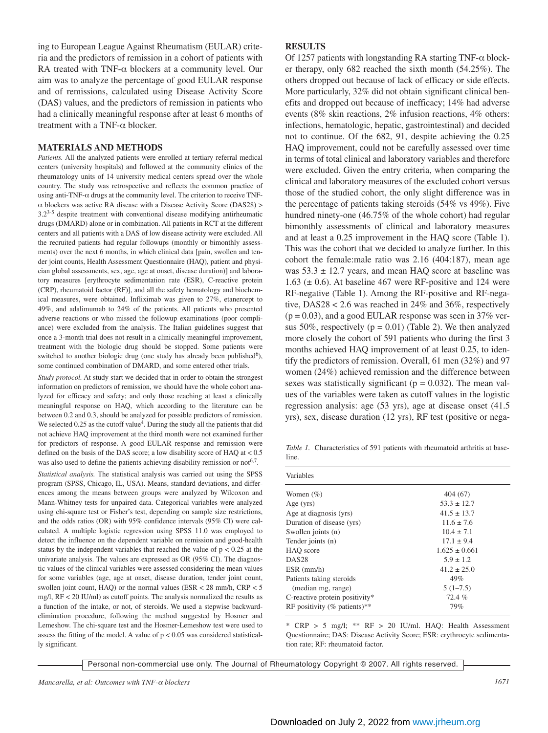ing to European League Against Rheumatism (EULAR) criteria and the predictors of remission in a cohort of patients with RA treated with TNF- $\alpha$  blockers at a community level. Our aim was to analyze the percentage of good EULAR response and of remissions, calculated using Disease Activity Score (DAS) values, and the predictors of remission in patients who had a clinically meaningful response after at least 6 months of treatment with a TNF- $\alpha$  blocker.

### **MATERIALS AND METHODS**

*Patients.* All the analyzed patients were enrolled at tertiary referral medical centers (university hospitals) and followed at the community clinics of the rheumatology units of 14 university medical centers spread over the whole country. The study was retrospective and reflects the common practice of using anti-TNF- $\alpha$  drugs at the community level. The criterion to receive TNFα blockers was active RA disease with a Disease Activity Score (DAS28) > 3.23-5 despite treatment with conventional disease modifying antirheumatic drugs (DMARD) alone or in combination. All patients in RCT at the different centers and all patients with a DAS of low disease activity were excluded. All the recruited patients had regular followups (monthly or bimonthly assessments) over the next 6 months, in which clinical data [pain, swollen and tender joint counts, Health Assessment Questionnaire (HAQ), patient and physician global assessments, sex, age, age at onset, disease duration)] and laboratory measures [erythrocyte sedimentation rate (ESR), C-reactive protein (CRP), rheumatoid factor (RF)], and all the safety hematology and biochemical measures, were obtained. Infliximab was given to 27%, etanercept to 49%, and adalimumab to 24% of the patients. All patients who presented adverse reactions or who missed the followup examinations (poor compliance) were excluded from the analysis. The Italian guidelines suggest that once a 3-month trial does not result in a clinically meaningful improvement, treatment with the biologic drug should be stopped. Some patients were switched to another biologic drug (one study has already been published<sup>6</sup>), some continued combination of DMARD, and some entered other trials.

*Study protocol.* At study start we decided that in order to obtain the strongest information on predictors of remission, we should have the whole cohort analyzed for efficacy and safety; and only those reaching at least a clinically meaningful response on HAQ, which according to the literature can be between 0.2 and 0.3, should be analyzed for possible predictors of remission. We selected  $0.25$  as the cutoff value<sup>4</sup>. During the study all the patients that did not achieve HAQ improvement at the third month were not examined further for predictors of response. A good EULAR response and remission were defined on the basis of the DAS score; a low disability score of HAQ at < 0.5 was also used to define the patients achieving disability remission or not<sup>6,7</sup>.

*Statistical analysis.* The statistical analysis was carried out using the SPSS program (SPSS, Chicago, IL, USA). Means, standard deviations, and differences among the means between groups were analyzed by Wilcoxon and Mann-Whitney tests for unpaired data. Categorical variables were analyzed using chi-square test or Fisher's test, depending on sample size restrictions, and the odds ratios (OR) with 95% confidence intervals (95% CI) were calculated. A multiple logistic regression using SPSS 11.0 was employed to detect the influence on the dependent variable on remission and good-health status by the independent variables that reached the value of  $p < 0.25$  at the univariate analysis. The values are expressed as OR (95% CI). The diagnostic values of the clinical variables were assessed considering the mean values for some variables (age, age at onset, disease duration, tender joint count, swollen joint count, HAQ) or the normal values (ESR < 28 mm/h, CRP < 5 mg/l, RF < 20 IU/ml) as cutoff points. The analysis normalized the results as a function of the intake, or not, of steroids. We used a stepwise backwardelimination procedure, following the method suggested by Hosmer and Lemeshow. The chi-square test and the Hosmer-Lemeshow test were used to assess the fitting of the model. A value of  $p < 0.05$  was considered statistically significant.

#### **RESULTS**

Of 1257 patients with longstanding RA starting TNF- $\alpha$  blocker therapy, only 682 reached the sixth month (54.25%). The others dropped out because of lack of efficacy or side effects. More particularly, 32% did not obtain significant clinical benefits and dropped out because of inefficacy; 14% had adverse events (8% skin reactions, 2% infusion reactions, 4% others: infections, hematologic, hepatic, gastrointestinal) and decided not to continue. Of the 682, 91, despite achieving the 0.25 HAQ improvement, could not be carefully assessed over time in terms of total clinical and laboratory variables and therefore were excluded. Given the entry criteria, when comparing the clinical and laboratory measures of the excluded cohort versus those of the studied cohort, the only slight difference was in the percentage of patients taking steroids (54% vs 49%). Five hundred ninety-one (46.75% of the whole cohort) had regular bimonthly assessments of clinical and laboratory measures and at least a 0.25 improvement in the HAQ score (Table 1). This was the cohort that we decided to analyze further. In this cohort the female:male ratio was 2.16 (404:187), mean age was  $53.3 \pm 12.7$  years, and mean HAO score at baseline was 1.63 ( $\pm$  0.6). At baseline 467 were RF-positive and 124 were RF-negative (Table 1). Among the RF-positive and RF-negative, DAS28 < 2.6 was reached in 24% and 36%, respectively  $(p = 0.03)$ , and a good EULAR response was seen in 37% versus 50%, respectively ( $p = 0.01$ ) (Table 2). We then analyzed more closely the cohort of 591 patients who during the first 3 months achieved HAQ improvement of at least 0.25, to identify the predictors of remission. Overall, 61 men (32%) and 97 women (24%) achieved remission and the difference between sexes was statistically significant ( $p = 0.032$ ). The mean values of the variables were taken as cutoff values in the logistic regression analysis: age (53 yrs), age at disease onset (41.5 yrs), sex, disease duration (12 yrs), RF test (positive or nega-

*Table 1.* Characteristics of 591 patients with rheumatoid arthritis at baseline.

| Variables                      |                   |
|--------------------------------|-------------------|
| Women $(\% )$                  | 404 (67)          |
| Age $(yrs)$                    | $53.3 \pm 12.7$   |
| Age at diagnosis (yrs)         | $41.5 \pm 13.7$   |
| Duration of disease (yrs)      | $11.6 + 7.6$      |
| Swollen joints (n)             | $10.4 + 7.1$      |
| Tender joints (n)              | $17.1 + 9.4$      |
| HAQ score                      | $1.625 \pm 0.661$ |
| DAS <sub>28</sub>              | $5.9 \pm 1.2$     |
| $ESR$ (mm/h)                   | $41.2 + 25.0$     |
| Patients taking steroids       | 49%               |
| (median mg, range)             | $5(1-7.5)$        |
| C-reactive protein positivity* | 72.4%             |
| RF positivity (% patients)**   | 79%               |

\* CRP > 5 mg/l; \*\* RF > 20 IU/ml. HAQ: Health Assessment Questionnaire; DAS: Disease Activity Score; ESR: erythrocyte sedimentation rate; RF: rheumatoid factor.

Personal non-commercial use only. The Journal of Rheumatology Copyright © 2007. All rights reserved.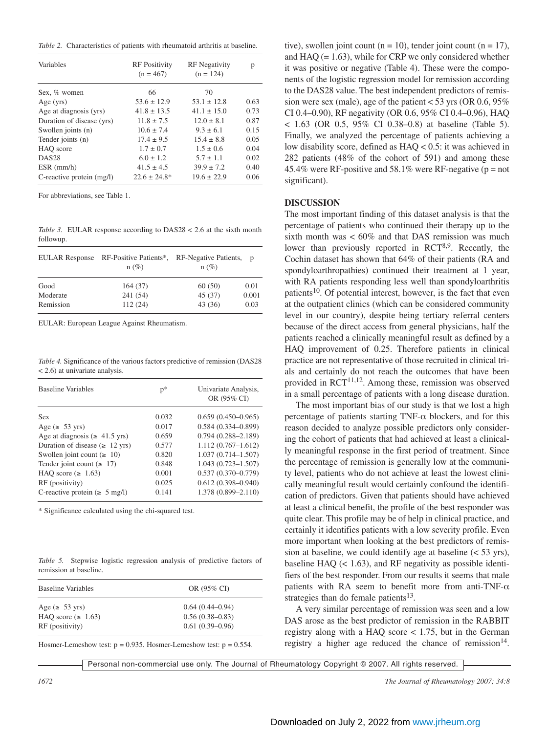*Table 2.* Characteristics of patients with rheumatoid arthritis at baseline.

| Variables                 | <b>RF</b> Positivity<br>$(n = 467)$ | <b>RF</b> Negativity<br>$(n = 124)$ | р    |
|---------------------------|-------------------------------------|-------------------------------------|------|
| Sex, % women              | 66                                  | 70                                  |      |
| Age $(yrs)$               | $53.6 \pm 12.9$                     | $53.1 \pm 12.8$                     | 0.63 |
| Age at diagnosis (yrs)    | $41.8 \pm 13.5$                     | $41.1 \pm 15.0$                     | 0.73 |
| Duration of disease (yrs) | $11.8 \pm 7.5$                      | $12.0 \pm 8.1$                      | 0.87 |
| Swollen joints (n)        | $10.6 \pm 7.4$                      | $9.3 + 6.1$                         | 0.15 |
| Tender joints (n)         | $17.4 \pm 9.5$                      | $15.4 \pm 8.8$                      | 0.05 |
| HAO score                 | $1.7 \pm 0.7$                       | $1.5 \pm 0.6$                       | 0.04 |
| DAS <sub>28</sub>         | $6.0 \pm 1.2$                       | $5.7 \pm 1.1$                       | 0.02 |
| $ESR$ (mm/h)              | $41.5 \pm 4.5$                      | $39.9 \pm 7.2$                      | 0.40 |
| C-reactive protein (mg/l) | $22.6 \pm 24.8^*$                   | $19.6 \pm 22.9$                     | 0.06 |

For abbreviations, see Table 1.

*Table 3.* EULAR response according to DAS28 < 2.6 at the sixth month followup.

|           | EULAR Response RF-Positive Patients*, RF-Negative Patients, p<br>$n(\%)$ | $n(\%)$ |       |
|-----------|--------------------------------------------------------------------------|---------|-------|
| Good      | 164(37)                                                                  | 60(50)  | 0.01  |
| Moderate  | 241 (54)                                                                 | 45 (37) | 0.001 |
| Remission | 112(24)                                                                  | 43 (36) | 0.03  |

EULAR: European League Against Rheumatism.

*Table 4.* Significance of the various factors predictive of remission (DAS28 < 2.6) at univariate analysis.

| <b>Baseline Variables</b>            | $p*$  | Univariate Analysis,<br>OR (95% CI) |
|--------------------------------------|-------|-------------------------------------|
| <b>Sex</b>                           | 0.032 | $0.659(0.450 - 0.965)$              |
| Age ( $\geq$ 53 yrs)                 | 0.017 | $0.584(0.334 - 0.899)$              |
| Age at diagnosis ( $\geq 41.5$ yrs)  | 0.659 | $0.794(0.288 - 2.189)$              |
| Duration of disease ( $\geq 12$ yrs) | 0.577 | $1.112(0.767-1.612)$                |
| Swollen joint count $( \ge 10)$      | 0.820 | $1.037(0.714 - 1.507)$              |
| Tender joint count ( $\geq 17$ )     | 0.848 | $1.043(0.723 - 1.507)$              |
| HAO score ( $\geq 1.63$ )            | 0.001 | $0.537(0.370 - 0.779)$              |
| RF (positivity)                      | 0.025 | $0.612(0.398 - 0.940)$              |
| C-reactive protein ( $\geq 5$ mg/l)  | 0.141 | 1.378 (0.899-2.110)                 |

\* Significance calculated using the chi-squared test.

*Table 5.* Stepwise logistic regression analysis of predictive factors of remission at baseline.

| <b>Baseline Variables</b> | OR (95% CI)         |
|---------------------------|---------------------|
| Age ( $\geq 53$ yrs)      | $0.64(0.44 - 0.94)$ |
| HAO score ( $\geq 1.63$ ) | $0.56(0.38 - 0.83)$ |
| RF (positivity)           | $0.61(0.39-0.96)$   |

Hosmer-Lemeshow test:  $p = 0.935$ . Hosmer-Lemeshow test:  $p = 0.554$ .

tive), swollen joint count ( $n = 10$ ), tender joint count ( $n = 17$ ), and  $HAQ (= 1.63)$ , while for CRP we only considered whether it was positive or negative (Table 4). These were the components of the logistic regression model for remission according to the DAS28 value. The best independent predictors of remission were sex (male), age of the patient  $<$  53 yrs (OR 0.6, 95%) CI 0.4–0.90), RF negativity (OR 0.6, 95% CI 0.4–0.96), HAQ  $<$  1.63 (OR 0.5, 95% CI 0.38–0.8) at baseline (Table 5). Finally, we analyzed the percentage of patients achieving a low disability score, defined as HAQ < 0.5: it was achieved in 282 patients (48% of the cohort of 591) and among these 45.4% were RF-positive and 58.1% were RF-negative ( $p = not$ ) significant).

# **DISCUSSION**

The most important finding of this dataset analysis is that the percentage of patients who continued their therapy up to the sixth month was  $< 60\%$  and that DAS remission was much lower than previously reported in  $RCT^{8,9}$ . Recently, the Cochin dataset has shown that 64% of their patients (RA and spondyloarthropathies) continued their treatment at 1 year, with RA patients responding less well than spondyloarthritis patients<sup>10</sup>. Of potential interest, however, is the fact that even at the outpatient clinics (which can be considered community level in our country), despite being tertiary referral centers because of the direct access from general physicians, half the patients reached a clinically meaningful result as defined by a HAQ improvement of 0.25. Therefore patients in clinical practice are not representative of those recruited in clinical trials and certainly do not reach the outcomes that have been provided in  $RCT^{11,12}$ . Among these, remission was observed in a small percentage of patients with a long disease duration.

The most important bias of our study is that we lost a high percentage of patients starting TNF- $\alpha$  blockers, and for this reason decided to analyze possible predictors only considering the cohort of patients that had achieved at least a clinically meaningful response in the first period of treatment. Since the percentage of remission is generally low at the community level, patients who do not achieve at least the lowest clinically meaningful result would certainly confound the identification of predictors. Given that patients should have achieved at least a clinical benefit, the profile of the best responder was quite clear. This profile may be of help in clinical practice, and certainly it identifies patients with a low severity profile. Even more important when looking at the best predictors of remission at baseline, we could identify age at baseline (< 53 yrs), baseline HAQ  $(< 1.63)$ , and RF negativity as possible identifiers of the best responder. From our results it seems that male patients with RA seem to benefit more from anti-TNF- $\alpha$ strategies than do female patients $13$ .

A very similar percentage of remission was seen and a low DAS arose as the best predictor of remission in the RABBIT registry along with a HAQ score < 1.75, but in the German registry a higher age reduced the chance of remission $14$ .

Personal non-commercial use only. The Journal of Rheumatology Copyright © 2007. All rights reserved.